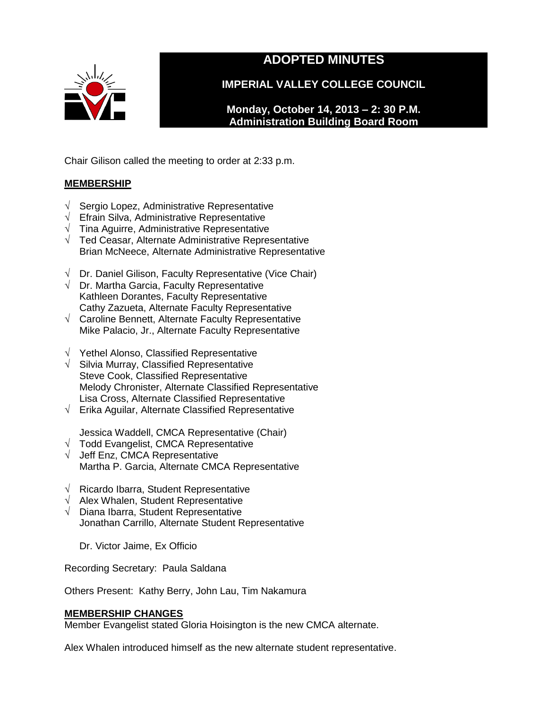

# **ADOPTED MINUTES**

**IMPERIAL VALLEY COLLEGE COUNCIL**

**Monday, October 14, 2013 – 2: 30 P.M. Administration Building Board Room** 

Chair Gilison called the meeting to order at 2:33 p.m.

# **MEMBERSHIP**

- √ Sergio Lopez, Administrative Representative
- √ Efrain Silva, Administrative Representative
- $\sqrt{\phantom{a}}$  Tina Aguirre, Administrative Representative
- √ Ted Ceasar, Alternate Administrative Representative Brian McNeece, Alternate Administrative Representative
- √ Dr. Daniel Gilison, Faculty Representative (Vice Chair)
- $\sqrt{ }$  Dr. Martha Garcia, Faculty Representative Kathleen Dorantes, Faculty Representative Cathy Zazueta, Alternate Faculty Representative
- √ Caroline Bennett, Alternate Faculty Representative Mike Palacio, Jr., Alternate Faculty Representative
- √ Yethel Alonso, Classified Representative
- √ Silvia Murray, Classified Representative Steve Cook, Classified Representative Melody Chronister, Alternate Classified Representative Lisa Cross, Alternate Classified Representative
- $\sqrt{\phantom{a}}$  Erika Aguilar, Alternate Classified Representative

Jessica Waddell, CMCA Representative (Chair)

- √ Todd Evangelist, CMCA Representative
- √ Jeff Enz, CMCA Representative Martha P. Garcia, Alternate CMCA Representative
- √ Ricardo Ibarra, Student Representative
- $\sqrt{\phantom{a}}$  Alex Whalen, Student Representative
- √ Diana Ibarra, Student Representative Jonathan Carrillo, Alternate Student Representative

Dr. Victor Jaime, Ex Officio

Recording Secretary: Paula Saldana

Others Present: Kathy Berry, John Lau, Tim Nakamura

# **MEMBERSHIP CHANGES**

Member Evangelist stated Gloria Hoisington is the new CMCA alternate.

Alex Whalen introduced himself as the new alternate student representative.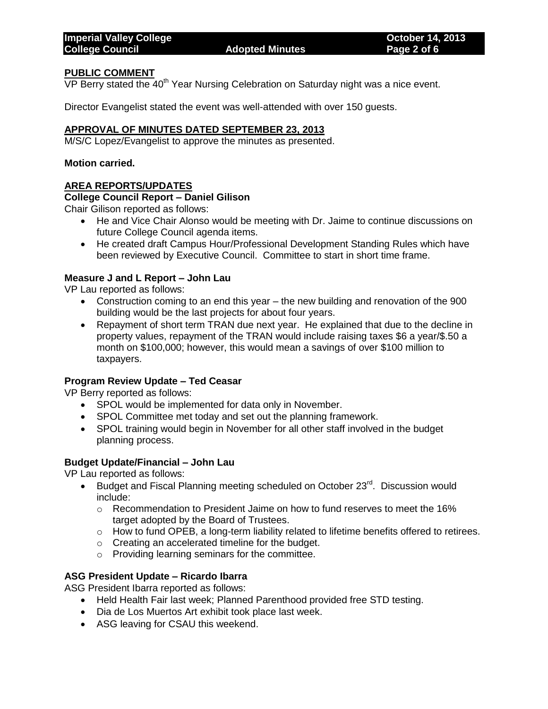#### **PUBLIC COMMENT**

 $VP$  Berry stated the  $40<sup>th</sup>$  Year Nursing Celebration on Saturday night was a nice event.

Director Evangelist stated the event was well-attended with over 150 guests.

# **APPROVAL OF MINUTES DATED SEPTEMBER 23, 2013**

M/S/C Lopez/Evangelist to approve the minutes as presented.

#### **Motion carried.**

#### **AREA REPORTS/UPDATES**

#### **College Council Report – Daniel Gilison**

Chair Gilison reported as follows:

- He and Vice Chair Alonso would be meeting with Dr. Jaime to continue discussions on future College Council agenda items.
- He created draft Campus Hour/Professional Development Standing Rules which have been reviewed by Executive Council. Committee to start in short time frame.

# **Measure J and L Report – John Lau**

VP Lau reported as follows:

- Construction coming to an end this year the new building and renovation of the 900 building would be the last projects for about four years.
- Repayment of short term TRAN due next year. He explained that due to the decline in property values, repayment of the TRAN would include raising taxes \$6 a year/\$.50 a month on \$100,000; however, this would mean a savings of over \$100 million to taxpayers.

# **Program Review Update – Ted Ceasar**

VP Berry reported as follows:

- SPOL would be implemented for data only in November.
- SPOL Committee met today and set out the planning framework.
- SPOL training would begin in November for all other staff involved in the budget planning process.

#### **Budget Update/Financial – John Lau**

VP Lau reported as follows:

- Budget and Fiscal Planning meeting scheduled on October 23<sup>rd</sup>. Discussion would include:
	- $\circ$  Recommendation to President Jaime on how to fund reserves to meet the 16% target adopted by the Board of Trustees.
	- $\circ$  How to fund OPEB, a long-term liability related to lifetime benefits offered to retirees.
	- o Creating an accelerated timeline for the budget.
	- o Providing learning seminars for the committee.

# **ASG President Update – Ricardo Ibarra**

ASG President Ibarra reported as follows:

- Held Health Fair last week; Planned Parenthood provided free STD testing.
- Dia de Los Muertos Art exhibit took place last week.
- ASG leaving for CSAU this weekend.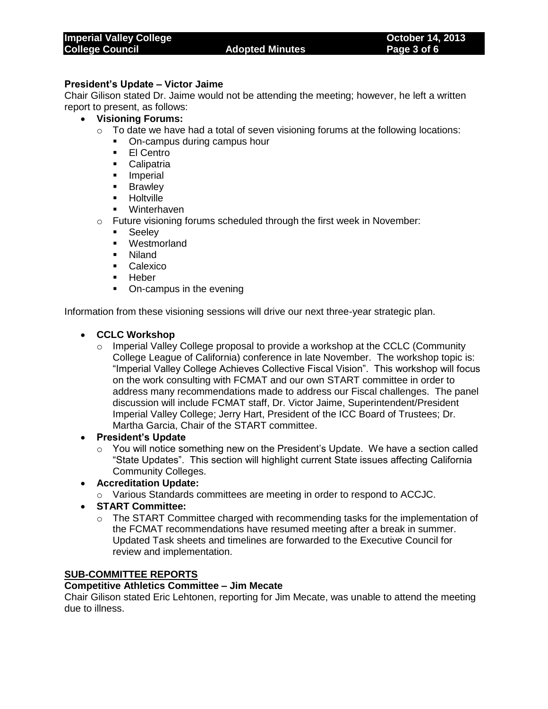# **President's Update – Victor Jaime**

Chair Gilison stated Dr. Jaime would not be attending the meeting; however, he left a written report to present, as follows:

- **Visioning Forums:**
	- $\circ$  To date we have had a total of seven visioning forums at the following locations:
		- On-campus during campus hour
		- **El Centro**
		- **Calipatria**
		- **Imperial**
		- **Brawley**
		- **-** Holtville
		- Winterhaven
	- o Future visioning forums scheduled through the first week in November:
		- **Seeley**
		- Westmorland
		- Niland
		- Calexico
		- **Heber**
		- On-campus in the evening

Information from these visioning sessions will drive our next three-year strategic plan.

# **CCLC Workshop**

- $\circ$  Imperial Valley College proposal to provide a workshop at the CCLC (Community College League of California) conference in late November. The workshop topic is: "Imperial Valley College Achieves Collective Fiscal Vision". This workshop will focus on the work consulting with FCMAT and our own START committee in order to address many recommendations made to address our Fiscal challenges. The panel discussion will include FCMAT staff, Dr. Victor Jaime, Superintendent/President Imperial Valley College; Jerry Hart, President of the ICC Board of Trustees; Dr. Martha Garcia, Chair of the START committee.
- **President's Update**
	- o You will notice something new on the President's Update. We have a section called "State Updates". This section will highlight current State issues affecting California Community Colleges.
- **Accreditation Update:**
	- o Various Standards committees are meeting in order to respond to ACCJC.
- **START Committee:**
	- $\circ$  The START Committee charged with recommending tasks for the implementation of the FCMAT recommendations have resumed meeting after a break in summer. Updated Task sheets and timelines are forwarded to the Executive Council for review and implementation.

# **SUB-COMMITTEE REPORTS**

### **Competitive Athletics Committee – Jim Mecate**

Chair Gilison stated Eric Lehtonen, reporting for Jim Mecate, was unable to attend the meeting due to illness.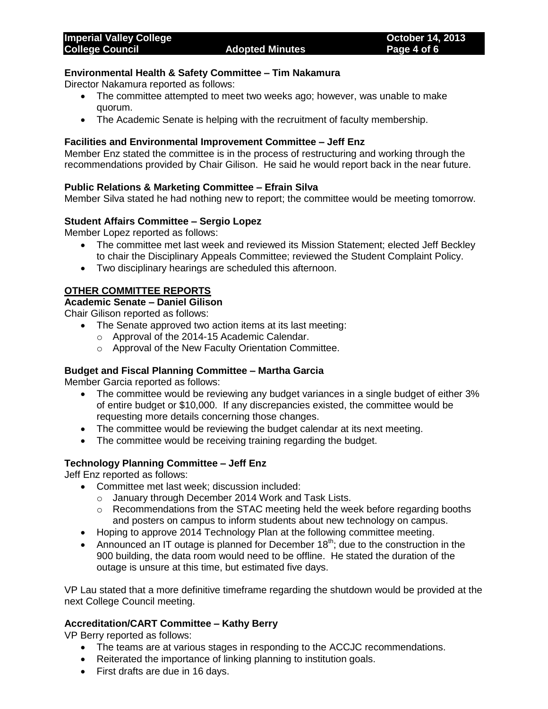### **Environmental Health & Safety Committee – Tim Nakamura**

Director Nakamura reported as follows:

- The committee attempted to meet two weeks ago; however, was unable to make quorum.
- The Academic Senate is helping with the recruitment of faculty membership.

#### **Facilities and Environmental Improvement Committee – Jeff Enz**

Member Enz stated the committee is in the process of restructuring and working through the recommendations provided by Chair Gilison. He said he would report back in the near future.

#### **Public Relations & Marketing Committee – Efrain Silva**

Member Silva stated he had nothing new to report; the committee would be meeting tomorrow.

#### **Student Affairs Committee – Sergio Lopez**

Member Lopez reported as follows:

- The committee met last week and reviewed its Mission Statement; elected Jeff Beckley to chair the Disciplinary Appeals Committee; reviewed the Student Complaint Policy.
- Two disciplinary hearings are scheduled this afternoon.

#### **OTHER COMMITTEE REPORTS**

#### **Academic Senate – Daniel Gilison**

Chair Gilison reported as follows:

- The Senate approved two action items at its last meeting:
	- o Approval of the 2014-15 Academic Calendar.
	- o Approval of the New Faculty Orientation Committee.

#### **Budget and Fiscal Planning Committee – Martha Garcia**

Member Garcia reported as follows:

- The committee would be reviewing any budget variances in a single budget of either 3% of entire budget or \$10,000. If any discrepancies existed, the committee would be requesting more details concerning those changes.
- The committee would be reviewing the budget calendar at its next meeting.
- The committee would be receiving training regarding the budget.

#### **Technology Planning Committee – Jeff Enz**

Jeff Enz reported as follows:

- Committee met last week; discussion included:
	- o January through December 2014 Work and Task Lists.
	- $\circ$  Recommendations from the STAC meeting held the week before regarding booths and posters on campus to inform students about new technology on campus.
- Hoping to approve 2014 Technology Plan at the following committee meeting.
- Announced an IT outage is planned for December  $18<sup>th</sup>$ ; due to the construction in the 900 building, the data room would need to be offline. He stated the duration of the outage is unsure at this time, but estimated five days.

VP Lau stated that a more definitive timeframe regarding the shutdown would be provided at the next College Council meeting.

#### **Accreditation/CART Committee – Kathy Berry**

VP Berry reported as follows:

- The teams are at various stages in responding to the ACCJC recommendations.
- Reiterated the importance of linking planning to institution goals.
- First drafts are due in 16 days.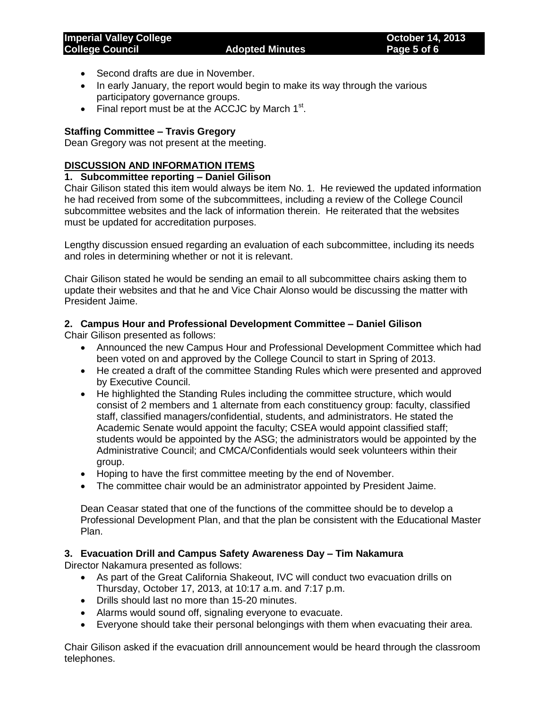- Second drafts are due in November.
- In early January, the report would begin to make its way through the various participatory governance groups.
- $\bullet$  Final report must be at the ACCJC by March 1st.

# **Staffing Committee – Travis Gregory**

Dean Gregory was not present at the meeting.

# **DISCUSSION AND INFORMATION ITEMS**

# **1. Subcommittee reporting – Daniel Gilison**

Chair Gilison stated this item would always be item No. 1. He reviewed the updated information he had received from some of the subcommittees, including a review of the College Council subcommittee websites and the lack of information therein. He reiterated that the websites must be updated for accreditation purposes.

Lengthy discussion ensued regarding an evaluation of each subcommittee, including its needs and roles in determining whether or not it is relevant.

Chair Gilison stated he would be sending an email to all subcommittee chairs asking them to update their websites and that he and Vice Chair Alonso would be discussing the matter with President Jaime.

# **2. Campus Hour and Professional Development Committee – Daniel Gilison**

Chair Gilison presented as follows:

- Announced the new Campus Hour and Professional Development Committee which had been voted on and approved by the College Council to start in Spring of 2013.
- He created a draft of the committee Standing Rules which were presented and approved by Executive Council.
- He highlighted the Standing Rules including the committee structure, which would consist of 2 members and 1 alternate from each constituency group: faculty, classified staff, classified managers/confidential, students, and administrators. He stated the Academic Senate would appoint the faculty; CSEA would appoint classified staff; students would be appointed by the ASG; the administrators would be appointed by the Administrative Council; and CMCA/Confidentials would seek volunteers within their group.
- Hoping to have the first committee meeting by the end of November.
- The committee chair would be an administrator appointed by President Jaime.

Dean Ceasar stated that one of the functions of the committee should be to develop a Professional Development Plan, and that the plan be consistent with the Educational Master Plan.

# **3. Evacuation Drill and Campus Safety Awareness Day – Tim Nakamura**

Director Nakamura presented as follows:

- As part of the Great California Shakeout, IVC will conduct two evacuation drills on Thursday, October 17, 2013, at 10:17 a.m. and 7:17 p.m.
- Drills should last no more than 15-20 minutes.
- Alarms would sound off, signaling everyone to evacuate.
- Everyone should take their personal belongings with them when evacuating their area.

Chair Gilison asked if the evacuation drill announcement would be heard through the classroom telephones.